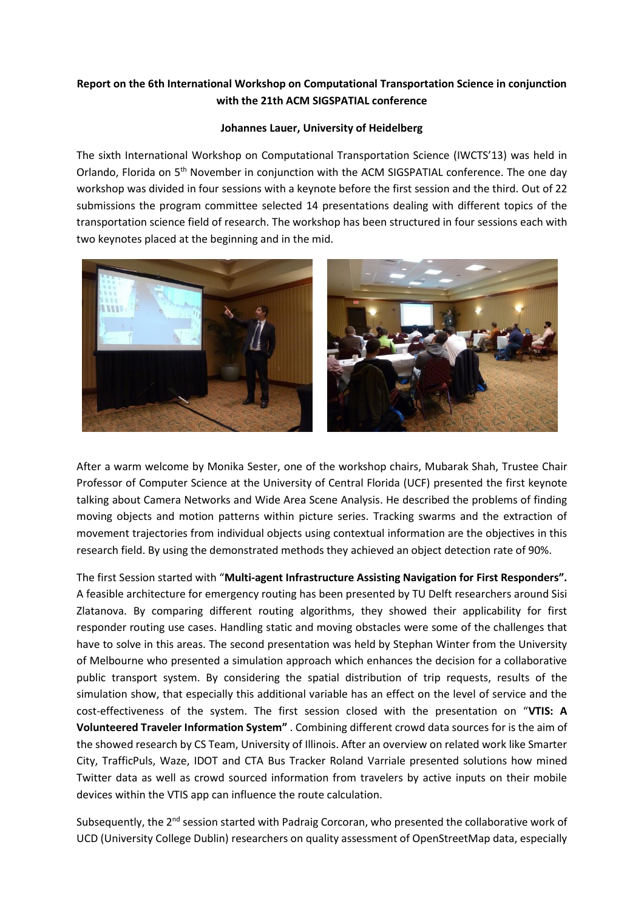## **Report on the 6th International Workshop on Computational Transportation Science in conjunction with the 21th ACM SIGSPATIAL conference**

## **Johannes Lauer, University of Heidelberg**

The sixth International Workshop on Computational Transportation Science (IWCTS'13) was held in Orlando, Florida on 5th November in conjunction with the ACM SIGSPATIAL conference. The one day workshop was divided in four sessions with a keynote before the first session and the third. Out of 22 submissions the program committee selected 14 presentations dealing with different topics of the transportation science field of research. The workshop has been structured in four sessions each with two keynotes placed at the beginning and in the mid.



After a warm welcome by Monika Sester, one of the workshop chairs, Mubarak Shah, Trustee Chair Professor of Computer Science at the University of Central Florida (UCF) presented the first keynote talking about Camera Networks and Wide Area Scene Analysis. He described the problems of finding moving objects and motion patterns within picture series. Tracking swarms and the extraction of movement trajectories from individual objects using contextual information are the objectives in this research field. By using the demonstrated methods they achieved an object detection rate of 90%.

The first Session started with "**Multi-agent Infrastructure Assisting Navigation for First Responders".**  A feasible architecture for emergency routing has been presented by TU Delft researchers around Sisi Zlatanova. By comparing different routing algorithms, they showed their applicability for first responder routing use cases. Handling static and moving obstacles were some of the challenges that have to solve in this areas. The second presentation was held by Stephan Winter from the University of Melbourne who presented a simulation approach which enhances the decision for a collaborative public transport system. By considering the spatial distribution of trip requests, results of the simulation show, that especially this additional variable has an effect on the level of service and the cost-effectiveness of the system. The first session closed with the presentation on "**VTIS: A Volunteered Traveler Information System"** . Combining different crowd data sources for is the aim of the showed research by CS Team, University of Illinois. After an overview on related work like Smarter City, TrafficPuls, Waze, IDOT and CTA Bus Tracker Roland Varriale presented solutions how mined Twitter data as well as crowd sourced information from travelers by active inputs on their mobile devices within the VTIS app can influence the route calculation.

Subsequently, the 2<sup>nd</sup> session started with Padraig Corcoran, who presented the collaborative work of UCD (University College Dublin) researchers on quality assessment of OpenStreetMap data, especially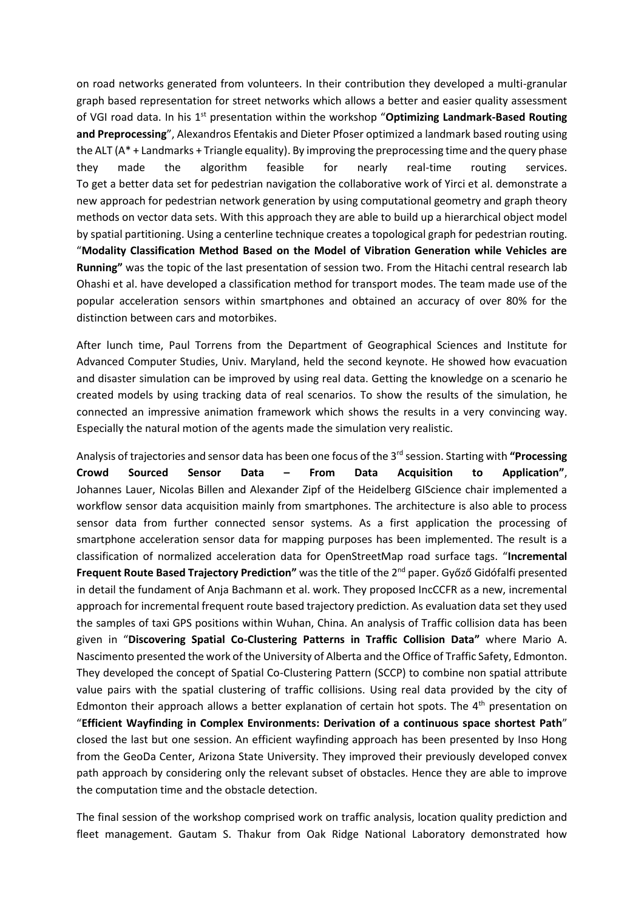on road networks generated from volunteers. In their contribution they developed a multi-granular graph based representation for street networks which allows a better and easier quality assessment of VGI road data. In his 1<sup>st</sup> presentation within the workshop "**Optimizing Landmark-Based Routing and Preprocessing**", Alexandros Efentakis and Dieter Pfoser optimized a landmark based routing using the ALT (A\* + Landmarks + Triangle equality). By improving the preprocessing time and the query phase they made the algorithm feasible for nearly real-time routing services. To get a better data set for pedestrian navigation the collaborative work of Yirci et al. demonstrate a new approach for pedestrian network generation by using computational geometry and graph theory methods on vector data sets. With this approach they are able to build up a hierarchical object model by spatial partitioning. Using a centerline technique creates a topological graph for pedestrian routing. "**Modality Classification Method Based on the Model of Vibration Generation while Vehicles are Running"** was the topic of the last presentation of session two. From the Hitachi central research lab Ohashi et al. have developed a classification method for transport modes. The team made use of the popular acceleration sensors within smartphones and obtained an accuracy of over 80% for the distinction between cars and motorbikes.

After lunch time, Paul Torrens from the Department of Geographical Sciences and Institute for Advanced Computer Studies, Univ. Maryland, held the second keynote. He showed how evacuation and disaster simulation can be improved by using real data. Getting the knowledge on a scenario he created models by using tracking data of real scenarios. To show the results of the simulation, he connected an impressive animation framework which shows the results in a very convincing way. Especially the natural motion of the agents made the simulation very realistic.

Analysis of trajectories and sensor data has been one focus of the 3rd session. Starting with **"Processing Crowd Sourced Sensor Data – From Data Acquisition to Application"**, Johannes Lauer, Nicolas Billen and Alexander Zipf of the Heidelberg GIScience chair implemented a workflow sensor data acquisition mainly from smartphones. The architecture is also able to process sensor data from further connected sensor systems. As a first application the processing of smartphone acceleration sensor data for mapping purposes has been implemented. The result is a classification of normalized acceleration data for OpenStreetMap road surface tags. "**Incremental Frequent Route Based Trajectory Prediction"** was the title of the 2nd paper. Győző Gidófalfi presented in detail the fundament of Anja Bachmann et al. work. They proposed IncCCFR as a new, incremental approach for incremental frequent route based trajectory prediction. As evaluation data set they used the samples of taxi GPS positions within Wuhan, China. An analysis of Traffic collision data has been given in "**Discovering Spatial Co-Clustering Patterns in Traffic Collision Data"** where Mario A. Nascimento presented the work of the University of Alberta and the Office of Traffic Safety, Edmonton. They developed the concept of Spatial Co-Clustering Pattern (SCCP) to combine non spatial attribute value pairs with the spatial clustering of traffic collisions. Using real data provided by the city of Edmonton their approach allows a better explanation of certain hot spots. The  $4<sup>th</sup>$  presentation on "**Efficient Wayfinding in Complex Environments: Derivation of a continuous space shortest Path**" closed the last but one session. An efficient wayfinding approach has been presented by Inso Hong from the GeoDa Center, Arizona State University. They improved their previously developed convex path approach by considering only the relevant subset of obstacles. Hence they are able to improve the computation time and the obstacle detection.

The final session of the workshop comprised work on traffic analysis, location quality prediction and fleet management. Gautam S. Thakur from Oak Ridge National Laboratory demonstrated how